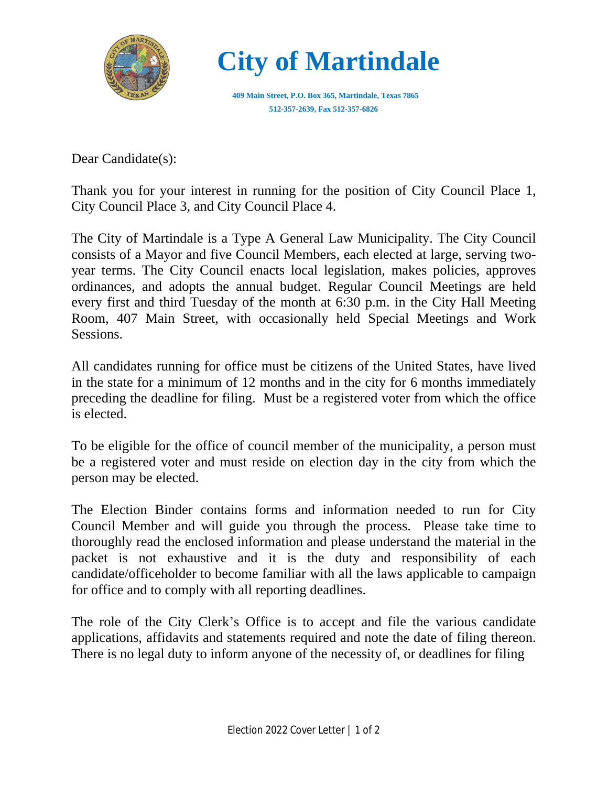

 **City of Martindale**

 **409 Main Street, P.O. Box 365, Martindale, Texas 7865 512-357-2639, Fax 512-357-6826**

Dear Candidate(s):

Thank you for your interest in running for the position of City Council Place 1, City Council Place 3, and City Council Place 4.

The City of Martindale is a Type A General Law Municipality. The City Council consists of a Mayor and five Council Members, each elected at large, serving twoyear terms. The City Council enacts local legislation, makes policies, approves ordinances, and adopts the annual budget. Regular Council Meetings are held every first and third Tuesday of the month at 6:30 p.m. in the City Hall Meeting Room, 407 Main Street, with occasionally held Special Meetings and Work Sessions.

All candidates running for office must be citizens of the United States, have lived in the state for a minimum of 12 months and in the city for 6 months immediately preceding the deadline for filing. Must be a registered voter from which the office is elected.

To be eligible for the office of council member of the municipality, a person must be a registered voter and must reside on election day in the city from which the person may be elected.

The Election Binder contains forms and information needed to run for City Council Member and will guide you through the process. Please take time to thoroughly read the enclosed information and please understand the material in the packet is not exhaustive and it is the duty and responsibility of each candidate/officeholder to become familiar with all the laws applicable to campaign for office and to comply with all reporting deadlines.

The role of the City Clerk's Office is to accept and file the various candidate applications, affidavits and statements required and note the date of filing thereon. There is no legal duty to inform anyone of the necessity of, or deadlines for filing